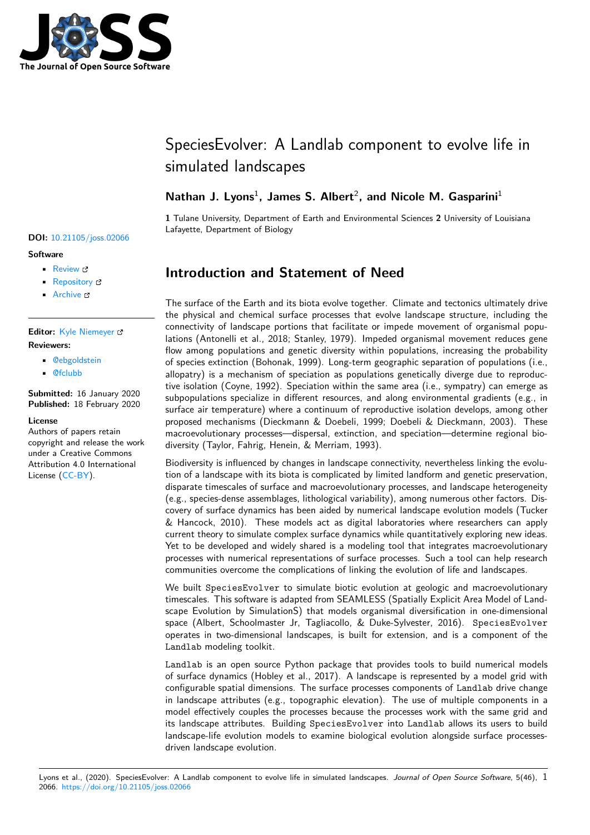

# SpeciesEvolver: A Landlab component to evolve life in simulated landscapes

### Nathan J. Lyons<sup>1</sup>, James S. Albert<sup>2</sup>, and Nicole M. Gasparini<sup>1</sup>

**1** Tulane University, Department of Earth and Environmental Sciences **2** University of Louisiana Lafayette, Department of Biology

# **Introduction and Statement of Need**

The surface of the Earth and its biota evolve together. Climate and tectonics ultimately drive the physical and chemical surface processes that evolve landscape structure, including the connectivity of landscape portions that facilitate or impede movement of organismal populations (Antonelli et al., 2018; Stanley, 1979). Impeded organismal movement reduces gene flow among populations and genetic diversity within populations, increasing the probability of species extinction (Bohonak, 1999). Long-term geographic separation of populations (i.e., allopatry) is a mechanism of speciation as populations genetically diverge due to reproductive isolation (Coyne, 1992). Speciation within the same area (i.e., sympatry) can emerge as subpopulations specialize in different resources, and along environmental gradients (e.g., in surface air temperature) where a continuum of reproductive isolation develops, among other proposed mechanisms (Dieckmann & Doebeli, 1999; Doebeli & Dieckmann, 2003). These macroevolutionary processes—dispersal, extinction, and speciation—determine regional biodiversity (Taylor, Fahrig, Henein, & Merriam, 1993).

Biodiversity is influenced by changes in landscape connectivity, nevertheless linking the evolution of a landscape with its biota is complicated by limited landform and genetic preservation, disparate timescales of surface and macroevolutionary processes, and landscape heterogeneity (e.g., species-dense assemblages, lithological variability), among numerous other factors. Discovery of surface dynamics has been aided by numerical landscape evolution models (Tucker & Hancock, 2010). These models act as digital laboratories where researchers can apply current theory to simulate complex surface dynamics while quantitatively exploring new ideas. Yet to be developed and widely shared is a modeling tool that integrates macroevolutionary processes with numerical representations of surface processes. Such a tool can help research communities overcome the complications of linking the evolution of life and landscapes.

We built SpeciesEvolver to simulate biotic evolution at geologic and macroevolutionary timescales. This software is adapted from SEAMLESS (Spatially Explicit Area Model of Landscape Evolution by SimulationS) that models organismal diversification in one-dimensional space (Albert, Schoolmaster Jr, Tagliacollo, & Duke-Sylvester, 2016). SpeciesEvolver operates in two-dimensional landscapes, is built for extension, and is a component of the Landlab modeling toolkit.

Landlab is an open source Python package that provides tools to build numerical models of surface dynamics (Hobley et al., 2017). A landscape is represented by a model grid with configurable spatial dimensions. The surface processes components of Landlab drive change in landscape attributes (e.g., topographic elevation). The use of multiple components in a model effectively couples the processes because the processes work with the same grid and its landscape attributes. Building SpeciesEvolver into Landlab allows its users to build landscape-life evolution models to examine biological evolution alongside surface processesdriven landscape evolution.

### **DOI:** 10.21105/joss.02066

#### **Software**

- Review &
- [Repository](https://doi.org/10.21105/joss.02066) &
- Archive

#### **Editor:** [Kyle Niem](https://github.com/landlab/landlab)eyer **Revie[wers:](https://doi.org/10.5281/zenodo.3672119)**

- @ebgoldstein
- @[fclubb](http://kyleniemeyer.com)

**Submitted:** 16 January 2020 **Published:** [18 Febr](https://github.com/ebgoldstein)uary 2020

#### **Licen[se](https://github.com/fclubb)**

Authors of papers retain copyright and release the work under a Creative Commons Attribution 4.0 International License (CC-BY).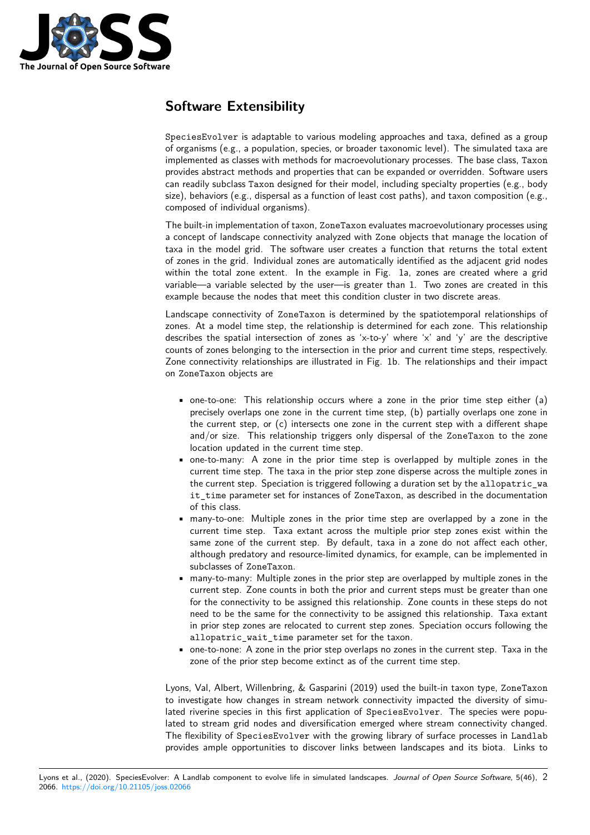

# **Software Extensibility**

SpeciesEvolver is adaptable to various modeling approaches and taxa, defined as a group of organisms (e.g., a population, species, or broader taxonomic level). The simulated taxa are implemented as classes with methods for macroevolutionary processes. The base class, Taxon provides abstract methods and properties that can be expanded or overridden. Software users can readily subclass Taxon designed for their model, including specialty properties (e.g., body size), behaviors (e.g., dispersal as a function of least cost paths), and taxon composition (e.g., composed of individual organisms).

The built-in implementation of taxon, ZoneTaxon evaluates macroevolutionary processes using a concept of landscape connectivity analyzed with Zone objects that manage the location of taxa in the model grid. The software user creates a function that returns the total extent of zones in the grid. Individual zones are automatically identified as the adjacent grid nodes within the total zone extent. In the example in Fig. 1a, zones are created where a grid variable—a variable selected by the user—is greater than 1. Two zones are created in this example because the nodes that meet this condition cluster in two discrete areas.

Landscape connectivity of ZoneTaxon is determined by the spatiotemporal relationships of zones. At a model time step, the relationship is determined for each zone. This relationship describes the spatial intersection of zones as 'x-to-y' where 'x' and 'y' are the descriptive counts of zones belonging to the intersection in the prior and current time steps, respectively. Zone connectivity relationships are illustrated in Fig. 1b. The relationships and their impact on ZoneTaxon objects are

- one-to-one: This relationship occurs where a zone in the prior time step either (a) precisely overlaps one zone in the current time step, (b) partially overlaps one zone in the current step, or (c) intersects one zone in the current step with a different shape and/or size. This relationship triggers only dispersal of the ZoneTaxon to the zone location updated in the current time step.
- one-to-many: A zone in the prior time step is overlapped by multiple zones in the current time step. The taxa in the prior step zone disperse across the multiple zones in the current step. Speciation is triggered following a duration set by the allopatric\_wa it\_time parameter set for instances of ZoneTaxon, as described in the documentation of this class.
- many-to-one: Multiple zones in the prior time step are overlapped by a zone in the current time step. Taxa extant across the multiple prior step zones exist within the same zone of the current step. By default, taxa in a zone do not affect each other, although predatory and resource-limited dynamics, for example, can be implemented in subclasses of ZoneTaxon.
- many-to-many: Multiple zones in the prior step are overlapped by multiple zones in the current step. Zone counts in both the prior and current steps must be greater than one for the connectivity to be assigned this relationship. Zone counts in these steps do not need to be the same for the connectivity to be assigned this relationship. Taxa extant in prior step zones are relocated to current step zones. Speciation occurs following the allopatric\_wait\_time parameter set for the taxon.
- one-to-none: A zone in the prior step overlaps no zones in the current step. Taxa in the zone of the prior step become extinct as of the current time step.

Lyons, Val, Albert, Willenbring, & Gasparini (2019) used the built-in taxon type, ZoneTaxon to investigate how changes in stream network connectivity impacted the diversity of simulated riverine species in this first application of SpeciesEvolver. The species were populated to stream grid nodes and diversification emerged where stream connectivity changed. The flexibility of SpeciesEvolver with the growing library of surface processes in Landlab provides ample opportunities to discover links between landscapes and its biota. Links to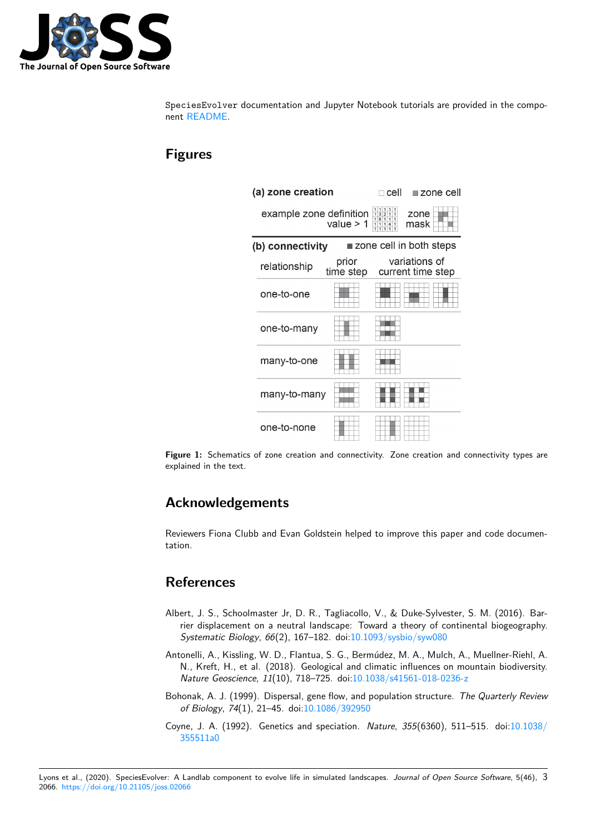

SpeciesEvolver documentation and Jupyter Notebook tutorials are provided in the component README.

# **Fig[ures](https://github.com/landlab/landlab/tree/master/landlab/components/species_evolution)**

| (a) zone creation                                          |                         |                                      | cell                                                                                                                              | <b>■zone cell</b> |
|------------------------------------------------------------|-------------------------|--------------------------------------|-----------------------------------------------------------------------------------------------------------------------------------|-------------------|
|                                                            | example zone definition | value $> 1$                          | $\begin{array}{c cccc} 1 & 1 & 1 & 1 & 1 \\ 1 & 3 & 2 & 1 & 1 \\ 1 & 6 & 1 & 1 & 1 \end{array}$<br>zone<br>mask<br>11141<br>11111 |                   |
| $\blacksquare$ zone cell in both steps<br>(b) connectivity |                         |                                      |                                                                                                                                   |                   |
|                                                            | relationship            | prior<br>time step current time step |                                                                                                                                   | variations of     |
|                                                            | one-to-one              |                                      |                                                                                                                                   |                   |
|                                                            | one-to-many             |                                      |                                                                                                                                   |                   |
|                                                            | many-to-one             |                                      |                                                                                                                                   |                   |
|                                                            | many-to-many            |                                      |                                                                                                                                   |                   |
|                                                            | one-to-none             |                                      |                                                                                                                                   |                   |

**Figure 1:** Schematics of zone creation and connectivity. Zone creation and connectivity types are explained in the text.

### **Acknowledgements**

Reviewers Fiona Clubb and Evan Goldstein helped to improve this paper and code documentation.

### **References**

- Albert, J. S., Schoolmaster Jr, D. R., Tagliacollo, V., & Duke-Sylvester, S. M. (2016). Barrier displacement on a neutral landscape: Toward a theory of continental biogeography. *Systematic Biology*, *66*(2), 167–182. doi:10.1093/sysbio/syw080
- Antonelli, A., Kissling, W. D., Flantua, S. G., Bermúdez, M. A., Mulch, A., Muellner-Riehl, A. N., Kreft, H., et al. (2018). Geological and climatic influences on mountain biodiversity. *Nature Geoscience*, *11*(10), 718–725. doi[:10.1038/s41561-018-02](https://doi.org/10.1093/sysbio/syw080)36-z
- Bohonak, A. J. (1999). Dispersal, gene flow, and population structure. *The Quarterly Review of Biology*, *74*(1), 21–45. doi:10.1086/392950
- Coyne, J. A. (1992). Genetics and speciation. *Nature*, *355*[\(6360\), 511–](https://doi.org/10.1038/s41561-018-0236-z)515. doi:10.1038/ 355511a0